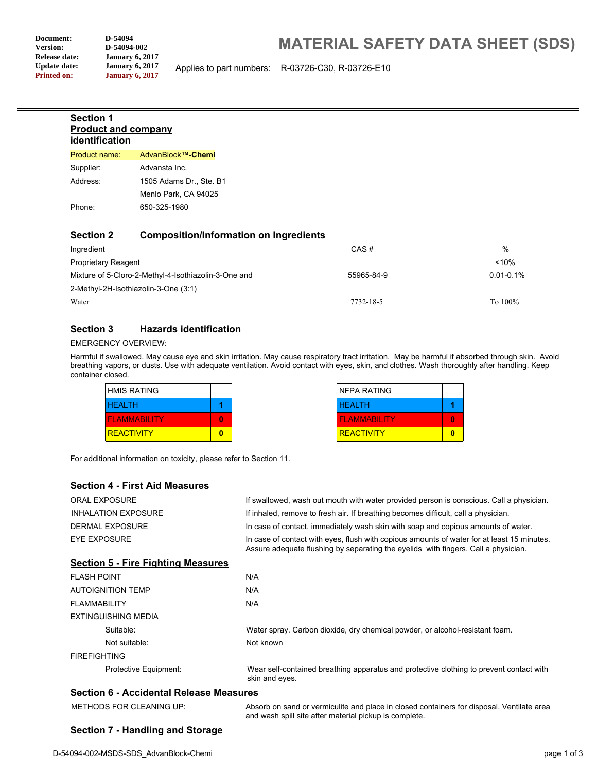**Section 1**

**Version: D-54094-002**<br> **Release date: January 6, 20 Release date: January 6, 2017 Update date: January 6, 2017**<br>**Printed on: January 6, 2017 Printed on: January 6, 2017**

**Product and company**

# **MATERIAL SAFETY DATA SHEET (SDS)**

Applies to part numbers: R-03726-C30, R-03726-E10

| identification                                       |                                               |            |                |
|------------------------------------------------------|-----------------------------------------------|------------|----------------|
| Product name:                                        | AdvanBlock™-Chemi                             |            |                |
| Supplier:                                            | Advansta Inc.                                 |            |                |
| Address:                                             | 1505 Adams Dr., Ste. B1                       |            |                |
|                                                      | Menlo Park, CA 94025                          |            |                |
| Phone:                                               | 650-325-1980                                  |            |                |
| <b>Section 2</b>                                     | <b>Composition/Information on Ingredients</b> |            |                |
| Ingredient                                           |                                               | CAS#       | $\%$           |
| <b>Proprietary Reagent</b>                           |                                               |            | < 10%          |
| Mixture of 5-Cloro-2-Methyl-4-Isothiazolin-3-One and |                                               | 55965-84-9 | $0.01 - 0.1\%$ |

2-Methyl-2H-Isothiazolin-3-One (3:1)

Water To 100% and the Contract of the Contract of Table 2018-18-5 To 100% and the To 100% of Table 2018-18-5 To  $100\%$ 

#### **Section 3 Hazards identification**

#### EMERGENCY OVERVIEW:

Harmful if swallowed. May cause eye and skin irritation. May cause respiratory tract irritation. May be harmful if absorbed through skin. Avoid breathing vapors, or dusts. Use with adequate ventilation. Avoid contact with eyes, skin, and clothes. Wash thoroughly after handling. Keep container closed.

| <b>HMIS RATING</b>  |   |
|---------------------|---|
| <b>HEALTH</b>       |   |
| <b>FLAMMABILITY</b> | 0 |
| <b>REACTIVITY</b>   |   |

| <b>NFPA RATING</b>  |  |
|---------------------|--|
| <b>HEALTH</b>       |  |
| <b>FLAMMABILITY</b> |  |
| <b>REACTIVITY</b>   |  |

For additional information on toxicity, please refer to Section 11.

#### **Section 4 - First Aid Measures**

| <b>ORAL EXPOSURE</b>                      | If swallowed, wash out mouth with water provided person is conscious. Call a physician.                                                                                          |  |
|-------------------------------------------|----------------------------------------------------------------------------------------------------------------------------------------------------------------------------------|--|
| <b>INHALATION EXPOSURE</b>                | If inhaled, remove to fresh air. If breathing becomes difficult, call a physician.                                                                                               |  |
| DERMAL EXPOSURE                           | In case of contact, immediately wash skin with soap and copious amounts of water.                                                                                                |  |
| <b>EYE EXPOSURE</b>                       | In case of contact with eyes, flush with copious amounts of water for at least 15 minutes.<br>Assure adequate flushing by separating the eyelids with fingers. Call a physician. |  |
| <b>Section 5 - Fire Fighting Measures</b> |                                                                                                                                                                                  |  |
| <b>FLASH POINT</b>                        | N/A                                                                                                                                                                              |  |
| <b>AUTOIGNITION TEMP</b>                  | N/A                                                                                                                                                                              |  |
| <b>FLAMMABILITY</b>                       | N/A                                                                                                                                                                              |  |
| EXTINGUISHING MEDIA                       |                                                                                                                                                                                  |  |
| Suitable:                                 | Water spray. Carbon dioxide, dry chemical powder, or alcohol-resistant foam.                                                                                                     |  |
| Not suitable:                             | Not known                                                                                                                                                                        |  |
| <b>FIREFIGHTING</b>                       |                                                                                                                                                                                  |  |
| Protective Equipment:                     | Wear self-contained breathing apparatus and protective clothing to prevent contact with<br>skin and eyes.                                                                        |  |

#### **Section 6 - Accidental Release Measures**

| METHODS FOR CLEANING UP: |
|--------------------------|
|--------------------------|

Absorb on sand or vermiculite and place in closed containers for disposal. Ventilate area and wash spill site after material pickup is complete.

## **Section 7 - Handling and Storage**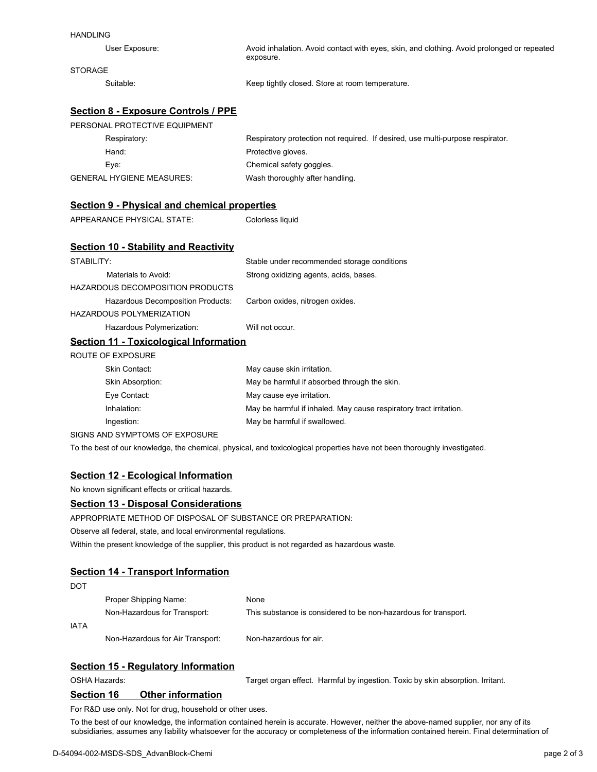| <b>HANDLING</b>                                     |                                                                                                                           |  |
|-----------------------------------------------------|---------------------------------------------------------------------------------------------------------------------------|--|
| User Exposure:                                      | Avoid inhalation. Avoid contact with eyes, skin, and clothing. Avoid prolonged or repeated<br>exposure.                   |  |
| <b>STORAGE</b>                                      |                                                                                                                           |  |
| Suitable:                                           | Keep tightly closed. Store at room temperature.                                                                           |  |
| <b>Section 8 - Exposure Controls / PPE</b>          |                                                                                                                           |  |
| PERSONAL PROTECTIVE EQUIPMENT                       |                                                                                                                           |  |
| Respiratory:                                        | Respiratory protection not required. If desired, use multi-purpose respirator.                                            |  |
| Hand:                                               | Protective gloves.                                                                                                        |  |
| Eye:                                                | Chemical safety goggles.                                                                                                  |  |
| <b>GENERAL HYGIENE MEASURES:</b>                    | Wash thoroughly after handling.                                                                                           |  |
| <b>Section 9 - Physical and chemical properties</b> |                                                                                                                           |  |
| APPEARANCE PHYSICAL STATE:                          | Colorless liquid                                                                                                          |  |
|                                                     |                                                                                                                           |  |
| <b>Section 10 - Stability and Reactivity</b>        |                                                                                                                           |  |
| STABILITY:                                          | Stable under recommended storage conditions                                                                               |  |
| Materials to Avoid:                                 | Strong oxidizing agents, acids, bases.                                                                                    |  |
| <b>HAZARDOUS DECOMPOSITION PRODUCTS</b>             |                                                                                                                           |  |
| Hazardous Decomposition Products:                   | Carbon oxides, nitrogen oxides.                                                                                           |  |
| <b>HAZARDOUS POLYMERIZATION</b>                     |                                                                                                                           |  |
| Hazardous Polymerization:                           | Will not occur.                                                                                                           |  |
| <b>Section 11 - Toxicological Information</b>       |                                                                                                                           |  |
| <b>ROUTE OF EXPOSURE</b>                            |                                                                                                                           |  |
| Skin Contact:                                       | May cause skin irritation.                                                                                                |  |
| Skin Absorption:                                    | May be harmful if absorbed through the skin.                                                                              |  |
| Eye Contact:                                        | May cause eye irritation.                                                                                                 |  |
| Inhalation:                                         | May be harmful if inhaled. May cause respiratory tract irritation.                                                        |  |
| Ingestion:                                          | May be harmful if swallowed.                                                                                              |  |
| SIGNS AND SYMPTOMS OF EXPOSURE                      |                                                                                                                           |  |
|                                                     | To the best of our knowledge, the chemical, physical, and toxicological properties have not been thoroughly investigated. |  |

#### **Section 12 - Ecological Information**

No known significant effects or critical hazards.

#### **Section 13 - Disposal Considerations**

APPROPRIATE METHOD OF DISPOSAL OF SUBSTANCE OR PREPARATION:

Observe all federal, state, and local environmental regulations.

Within the present knowledge of the supplier, this product is not regarded as hazardous waste.

## **Section 14 - Transport Information**

| DOT  |                                  |                                                                 |
|------|----------------------------------|-----------------------------------------------------------------|
|      | Proper Shipping Name:            | <b>None</b>                                                     |
|      | Non-Hazardous for Transport:     | This substance is considered to be non-hazardous for transport. |
| IATA |                                  |                                                                 |
|      | Non-Hazardous for Air Transport: | Non-hazardous for air.                                          |

## **Section 15 - Regulatory Information**

OSHA Hazards: Target organ effect. Harmful by ingestion. Toxic by skin absorption. Irritant.

# **Section 16 Other information**

For R&D use only. Not for drug, household or other uses.

To the best of our knowledge, the information contained herein is accurate. However, neither the above-named supplier, nor any of its subsidiaries, assumes any liability whatsoever for the accuracy or completeness of the information contained herein. Final determination of